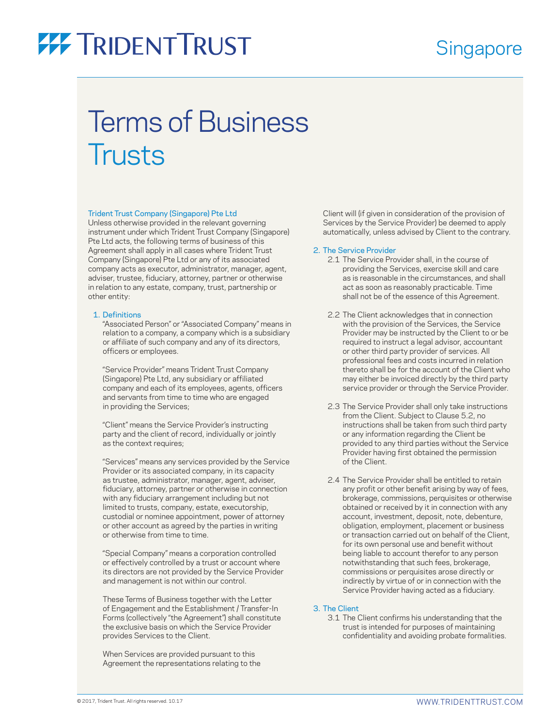### **Singapore**

## Terms of Business **Trusts**

#### Trident Trust Company (Singapore) Pte Ltd

Unless otherwise provided in the relevant governing instrument under which Trident Trust Company (Singapore) Pte Ltd acts, the following terms of business of this Agreement shall apply in all cases where Trident Trust Company (Singapore) Pte Ltd or any of its associated company acts as executor, administrator, manager, agent, adviser, trustee, fiduciary, attorney, partner or otherwise in relation to any estate, company, trust, partnership or other entity:

#### 1. Definitions

 "Associated Person" or "Associated Company" means in relation to a company, a company which is a subsidiary or affiliate of such company and any of its directors, officers or employees.

 "Service Provider" means Trident Trust Company (Singapore) Pte Ltd, any subsidiary or affiliated company and each of its employees, agents, officers and servants from time to time who are engaged in providing the Services;

 "Client" means the Service Provider's instructing party and the client of record, individually or jointly as the context requires;

 "Services" means any services provided by the Service Provider or its associated company, in its capacity as trustee, administrator, manager, agent, adviser, fiduciary, attorney, partner or otherwise in connection with any fiduciary arrangement including but not limited to trusts, company, estate, executorship, custodial or nominee appointment, power of attorney or other account as agreed by the parties in writing or otherwise from time to time.

 "Special Company" means a corporation controlled or effectively controlled by a trust or account where its directors are not provided by the Service Provider and management is not within our control.

 These Terms of Business together with the Letter of Engagement and the Establishment / Transfer-In Forms (collectively "the Agreement") shall constitute the exclusive basis on which the Service Provider provides Services to the Client.

 When Services are provided pursuant to this Agreement the representations relating to the Client will (if given in consideration of the provision of Services by the Service Provider) be deemed to apply automatically, unless advised by Client to the contrary.

#### 2. The Service Provider

- 2.1 The Service Provider shall, in the course of providing the Services, exercise skill and care as is reasonable in the circumstances, and shall act as soon as reasonably practicable. Time shall not be of the essence of this Agreement.
- 2.2 The Client acknowledges that in connection with the provision of the Services, the Service Provider may be instructed by the Client to or be required to instruct a legal advisor, accountant or other third party provider of services. All professional fees and costs incurred in relation thereto shall be for the account of the Client who may either be invoiced directly by the third party service provider or through the Service Provider.
- 2.3 The Service Provider shall only take instructions from the Client. Subject to Clause 5.2, no instructions shall be taken from such third party or any information regarding the Client be provided to any third parties without the Service Provider having first obtained the permission of the Client.
- 2.4 The Service Provider shall be entitled to retain any profit or other benefit arising by way of fees, brokerage, commissions, perquisites or otherwise obtained or received by it in connection with any account, investment, deposit, note, debenture, obligation, employment, placement or business or transaction carried out on behalf of the Client, for its own personal use and benefit without being liable to account therefor to any person notwithstanding that such fees, brokerage, commissions or perquisites arose directly or indirectly by virtue of or in connection with the Service Provider having acted as a fiduciary.

#### 3. The Client

 3.1 The Client confirms his understanding that the trust is intended for purposes of maintaining confidentiality and avoiding probate formalities.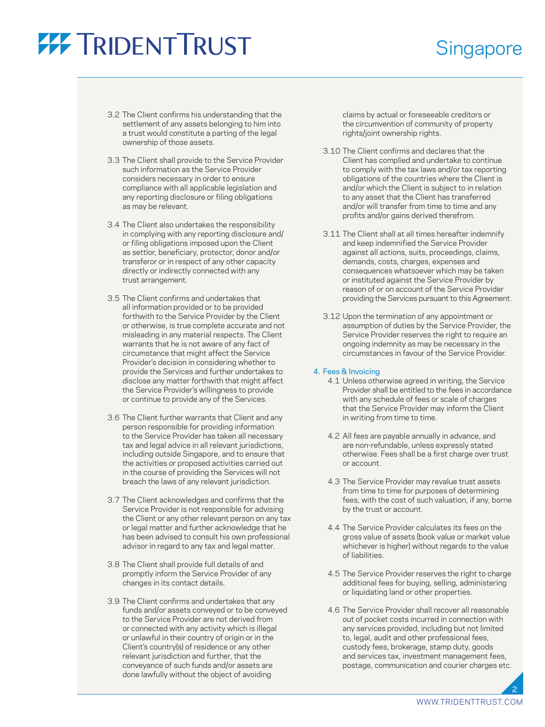### **Singapore**

- 3.2 The Client confirms his understanding that the settlement of any assets belonging to him into a trust would constitute a parting of the legal ownership of those assets.
- 3.3 The Client shall provide to the Service Provider such information as the Service Provider considers necessary in order to ensure compliance with all applicable legislation and any reporting disclosure or filing obligations as may be relevant.
- 3.4 The Client also undertakes the responsibility in complying with any reporting disclosure and/ or filing obligations imposed upon the Client as settlor, beneficiary, protector, donor and/or transferor or in respect of any other capacity directly or indirectly connected with any trust arrangement.
- 3.5 The Client confirms and undertakes that all information provided or to be provided forthwith to the Service Provider by the Client or otherwise, is true complete accurate and not misleading in any material respects. The Client warrants that he is not aware of any fact of circumstance that might affect the Service Provider's decision in considering whether to provide the Services and further undertakes to disclose any matter forthwith that might affect the Service Provider's willingness to provide or continue to provide any of the Services.
- 3.6 The Client further warrants that Client and any person responsible for providing information to the Service Provider has taken all necessary tax and legal advice in all relevant jurisdictions, including outside Singapore, and to ensure that the activities or proposed activities carried out in the course of providing the Services will not breach the laws of any relevant jurisdiction.
- 3.7 The Client acknowledges and confirms that the Service Provider is not responsible for advising the Client or any other relevant person on any tax or legal matter and further acknowledge that he has been advised to consult his own professional advisor in regard to any tax and legal matter.
- 3.8 The Client shall provide full details of and promptly inform the Service Provider of any changes in its contact details.
- 3.9 The Client confirms and undertakes that any funds and/or assets conveyed or to be conveyed to the Service Provider are not derived from or connected with any activity which is illegal or unlawful in their country of origin or in the Client's country(s) of residence or any other relevant jurisdiction and further, that the conveyance of such funds and/or assets are done lawfully without the object of avoiding

claims by actual or foreseeable creditors or the circumvention of community of property rights/joint ownership rights.

- 3.10 The Client confirms and declares that the Client has complied and undertake to continue to comply with the tax laws and/or tax reporting obligations of the countries where the Client is and/or which the Client is subject to in relation to any asset that the Client has transferred and/or will transfer from time to time and any profits and/or gains derived therefrom.
- 3.11 The Client shall at all times hereafter indemnify and keep indemnified the Service Provider against all actions, suits, proceedings, claims, demands, costs, charges, expenses and consequences whatsoever which may be taken or instituted against the Service Provider by reason of or on account of the Service Provider providing the Services pursuant to this Agreement.
- 3.12 Upon the termination of any appointment or assumption of duties by the Service Provider, the Service Provider reserves the right to require an ongoing indemnity as may be necessary in the circumstances in favour of the Service Provider.

#### 4. Fees & Invoicing

- 4.1 Unless otherwise agreed in writing, the Service Provider shall be entitled to the fees in accordance with any schedule of fees or scale of charges that the Service Provider may inform the Client in writing from time to time.
- 4.2 All fees are payable annually in advance, and are non-refundable, unless expressly stated otherwise. Fees shall be a first charge over trust or account.
- 4.3 The Service Provider may revalue trust assets from time to time for purposes of determining fees, with the cost of such valuation, if any, borne by the trust or account.
- 4.4 The Service Provider calculates its fees on the gross value of assets (book value or market value whichever is higher) without regards to the value of liabilities.
- 4.5 The Service Provider reserves the right to charge additional fees for buying, selling, administering or liquidating land or other properties.
- 4.6 The Service Provider shall recover all reasonable out of pocket costs incurred in connection with any services provided, including but not limited to, legal, audit and other professional fees, custody fees, brokerage, stamp duty, goods and services tax, investment management fees, postage, communication and courier charges etc.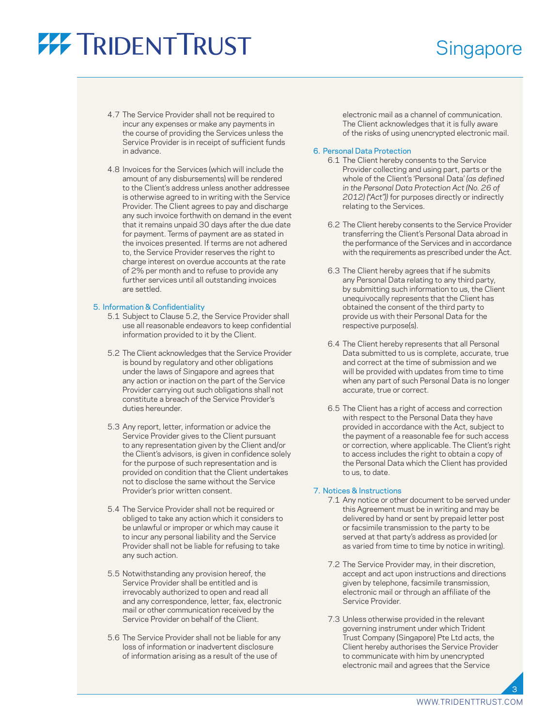### **Singapore**

- 4.7 The Service Provider shall not be required to incur any expenses or make any payments in the course of providing the Services unless the Service Provider is in receipt of sufficient funds in advance.
- 4.8 Invoices for the Services (which will include the amount of any disbursements) will be rendered to the Client's address unless another addressee is otherwise agreed to in writing with the Service Provider. The Client agrees to pay and discharge any such invoice forthwith on demand in the event that it remains unpaid 30 days after the due date for payment. Terms of payment are as stated in the invoices presented. If terms are not adhered to, the Service Provider reserves the right to charge interest on overdue accounts at the rate of 2% per month and to refuse to provide any further services until all outstanding invoices are settled.

#### 5. Information & Confidentiality

- 5.1 Subject to Clause 5.2, the Service Provider shall use all reasonable endeavors to keep confidential information provided to it by the Client.
- 5.2 The Client acknowledges that the Service Provider is bound by regulatory and other obligations under the laws of Singapore and agrees that any action or inaction on the part of the Service Provider carrying out such obligations shall not constitute a breach of the Service Provider's duties hereunder.
- 5.3 Any report, letter, information or advice the Service Provider gives to the Client pursuant to any representation given by the Client and/or the Client's advisors, is given in confidence solely for the purpose of such representation and is provided on condition that the Client undertakes not to disclose the same without the Service Provider's prior written consent.
- 5.4 The Service Provider shall not be required or obliged to take any action which it considers to be unlawful or improper or which may cause it to incur any personal liability and the Service Provider shall not be liable for refusing to take any such action.
- 5.5 Notwithstanding any provision hereof, the Service Provider shall be entitled and is irrevocably authorized to open and read all and any correspondence, letter, fax, electronic mail or other communication received by the Service Provider on behalf of the Client.
- 5.6 The Service Provider shall not be liable for any loss of information or inadvertent disclosure of information arising as a result of the use of

electronic mail as a channel of communication. The Client acknowledges that it is fully aware of the risks of using unencrypted electronic mail.

#### 6. Personal Data Protection

- 6.1 The Client hereby consents to the Service Provider collecting and using part, parts or the whole of the Client's 'Personal Data' *(as defined in the Personal Data Protection Act (No. 26 of 2012) ("Act"))* for purposes directly or indirectly relating to the Services.
- 6.2 The Client hereby consents to the Service Provider transferring the Client's Personal Data abroad in the performance of the Services and in accordance with the requirements as prescribed under the Act.
- 6.3 The Client hereby agrees that if he submits any Personal Data relating to any third party, by submitting such information to us, the Client unequivocally represents that the Client has obtained the consent of the third party to provide us with their Personal Data for the respective purpose(s).
- 6.4 The Client hereby represents that all Personal Data submitted to us is complete, accurate, true and correct at the time of submission and we will be provided with updates from time to time when any part of such Personal Data is no longer accurate, true or correct.
- 6.5 The Client has a right of access and correction with respect to the Personal Data they have provided in accordance with the Act, subject to the payment of a reasonable fee for such access or correction, where applicable. The Client's right to access includes the right to obtain a copy of the Personal Data which the Client has provided to us, to date.

#### 7. Notices & Instructions

- 7.1 Any notice or other document to be served under this Agreement must be in writing and may be delivered by hand or sent by prepaid letter post or facsimile transmission to the party to be served at that party's address as provided (or as varied from time to time by notice in writing).
- 7.2 The Service Provider may, in their discretion, accept and act upon instructions and directions given by telephone, facsimile transmission, electronic mail or through an affiliate of the Service Provider.
- 7.3 Unless otherwise provided in the relevant governing instrument under which Trident Trust Company (Singapore) Pte Ltd acts, the Client hereby authorises the Service Provider to communicate with him by unencrypted electronic mail and agrees that the Service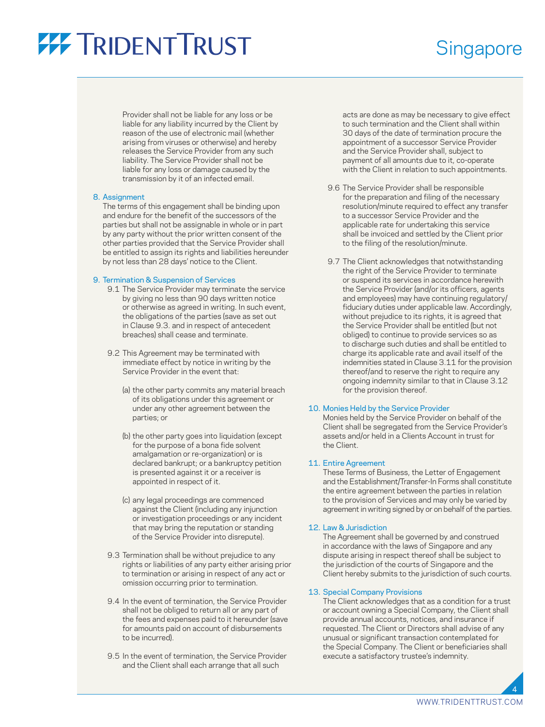### **Singapore**

Provider shall not be liable for any loss or be liable for any liability incurred by the Client by reason of the use of electronic mail (whether arising from viruses or otherwise) and hereby releases the Service Provider from any such liability. The Service Provider shall not be liable for any loss or damage caused by the transmission by it of an infected email.

#### 8. Assignment

 The terms of this engagement shall be binding upon and endure for the benefit of the successors of the parties but shall not be assignable in whole or in part by any party without the prior written consent of the other parties provided that the Service Provider shall be entitled to assign its rights and liabilities hereunder by not less than 28 days' notice to the Client.

#### 9. Termination & Suspension of Services

- 9.1 The Service Provider may terminate the service by giving no less than 90 days written notice or otherwise as agreed in writing. In such event, the obligations of the parties (save as set out in Clause 9.3. and in respect of antecedent breaches) shall cease and terminate.
- 9.2 This Agreement may be terminated with immediate effect by notice in writing by the Service Provider in the event that:
	- (a) the other party commits any material breach of its obligations under this agreement or under any other agreement between the parties; or
	- (b) the other party goes into liquidation (except for the purpose of a bona fide solvent amalgamation or re-organization) or is declared bankrupt; or a bankruptcy petition is presented against it or a receiver is appointed in respect of it.
	- (c) any legal proceedings are commenced against the Client (including any injunction or investigation proceedings or any incident that may bring the reputation or standing of the Service Provider into disrepute).
- 9.3 Termination shall be without prejudice to any rights or liabilities of any party either arising prior to termination or arising in respect of any act or omission occurring prior to termination.
- 9.4 In the event of termination, the Service Provider shall not be obliged to return all or any part of the fees and expenses paid to it hereunder (save for amounts paid on account of disbursements to be incurred).
- 9.5 In the event of termination, the Service Provider and the Client shall each arrange that all such

acts are done as may be necessary to give effect to such termination and the Client shall within 30 days of the date of termination procure the appointment of a successor Service Provider and the Service Provider shall, subject to payment of all amounts due to it, co-operate with the Client in relation to such appointments.

- 9.6 The Service Provider shall be responsible for the preparation and filing of the necessary resolution/minute required to effect any transfer to a successor Service Provider and the applicable rate for undertaking this service shall be invoiced and settled by the Client prior to the filing of the resolution/minute.
- 9.7 The Client acknowledges that notwithstanding the right of the Service Provider to terminate or suspend its services in accordance herewith the Service Provider (and/or its officers, agents and employees) may have continuing regulatory/ fiduciary duties under applicable law. Accordingly, without prejudice to its rights, it is agreed that the Service Provider shall be entitled (but not obliged) to continue to provide services so as to discharge such duties and shall be entitled to charge its applicable rate and avail itself of the indemnities stated in Clause 3.11 for the provision thereof/and to reserve the right to require any ongoing indemnity similar to that in Clause 3.12 for the provision thereof.

#### 10. Monies Held by the Service Provider

 Monies held by the Service Provider on behalf of the Client shall be segregated from the Service Provider's assets and/or held in a Clients Account in trust for the Client.

#### 11. Entire Agreement

 These Terms of Business, the Letter of Engagement and the Establishment/Transfer-In Forms shall constitute the entire agreement between the parties in relation to the provision of Services and may only be varied by agreement in writing signed by or on behalf of the parties.

#### 12. Law & Jurisdiction

 The Agreement shall be governed by and construed in accordance with the laws of Singapore and any dispute arising in respect thereof shall be subject to the jurisdiction of the courts of Singapore and the Client hereby submits to the jurisdiction of such courts.

#### 13. Special Company Provisions

 The Client acknowledges that as a condition for a trust or account owning a Special Company, the Client shall provide annual accounts, notices, and insurance if requested. The Client or Directors shall advise of any unusual or significant transaction contemplated for the Special Company. The Client or beneficiaries shall execute a satisfactory trustee's indemnity.